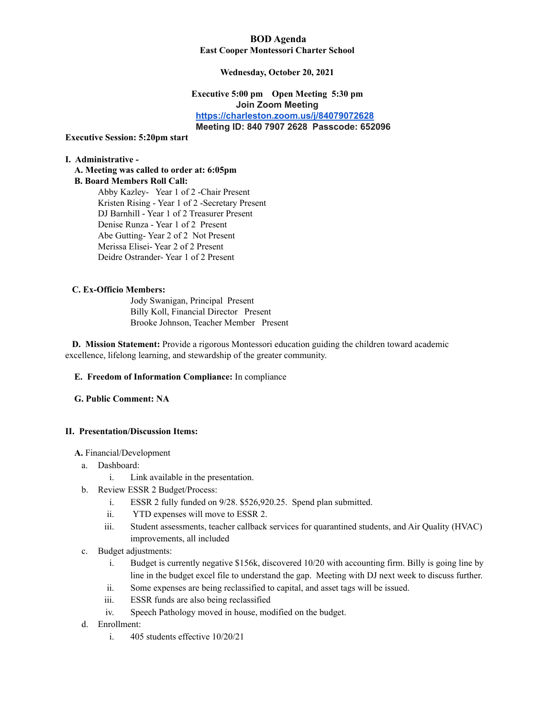### **BOD Agenda East Cooper Montessori Charter School**

### **Wednesday, October 20, 2021**

### **Executive 5:00 pm Open Meeting 5:30 pm Join Zoom Meeting [https://charleston.zoom.us/j/84079072628](https://urldefense.com/v3/__https:/www.google.com/url?q=https*3A*2F*2Fcharleston.zoom.us*2Fj*2F84079072628&sa=D&source=calendar&usd=2&usg=AOvVaw1P5hEumh3N_3kXnSB5Za1N__;JSUlJSU!!Ab1_Rw!TYErxYaxULwx8dFDDDZMnX49V0YQc-DbtwhYb5b2MLmuVYf_bDkna2yXvHCIUu9X$) Meeting ID: 840 7907 2628 Passcode: 652096**

#### **Executive Session: 5:20pm start**

#### **I. Administrative -**

**A. Meeting was called to order at: 6:05pm B. Board Members Roll Call:** Abby Kazley- Year 1 of 2 -Chair Present Kristen Rising - Year 1 of 2 -Secretary Present DJ Barnhill - Year 1 of 2 Treasurer Present Denise Runza - Year 1 of 2 Present Abe Gutting- Year 2 of 2 Not Present Merissa Elisei- Year 2 of 2 Present Deidre Ostrander- Year 1 of 2 Present

### **C. Ex-Officio Members:**

Jody Swanigan, Principal Present Billy Koll, Financial Director Present Brooke Johnson, Teacher Member Present

**D. Mission Statement:** Provide a rigorous Montessori education guiding the children toward academic excellence, lifelong learning, and stewardship of the greater community.

### **E. Freedom of Information Compliance:** In compliance

### **G. Public Comment: NA**

### **II. Presentation/Discussion Items:**

**A.** Financial/Development

- a. Dashboard:
	- i. Link available in the presentation.
- b. Review ESSR 2 Budget/Process:
	- i. ESSR 2 fully funded on 9/28. \$526,920.25. Spend plan submitted.
	- ii. YTD expenses will move to ESSR 2.
	- iii. Student assessments, teacher callback services for quarantined students, and Air Quality (HVAC) improvements, all included
- c. Budget adjustments:
	- i. Budget is currently negative \$156k, discovered 10/20 with accounting firm. Billy is going line by line in the budget excel file to understand the gap. Meeting with DJ next week to discuss further.
	- ii. Some expenses are being reclassified to capital, and asset tags will be issued.
	- iii. ESSR funds are also being reclassified
	- iv. Speech Pathology moved in house, modified on the budget.
- d. Enrollment:
	- i. 405 students effective 10/20/21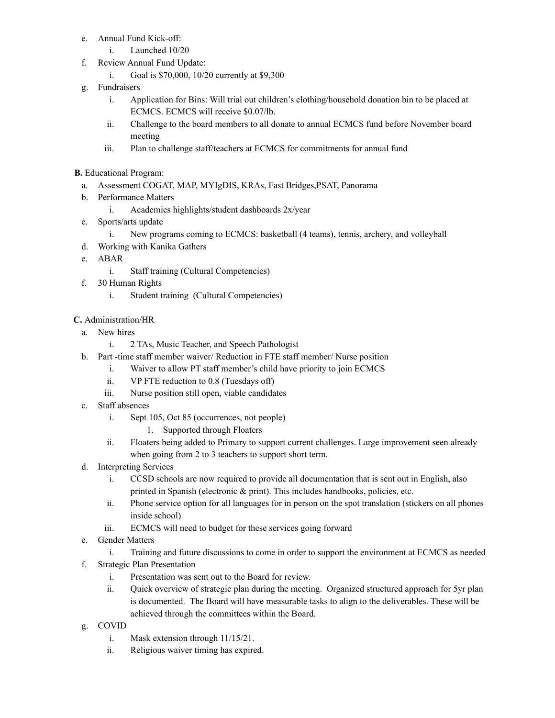- e. Annual Fund Kick-off:
	- i. Launched 10/20
- f. Review Annual Fund Update:
	- i. Goal is \$70,000, 10/20 currently at \$9,300
- g. Fundraisers
	- i. Application for Bins: Will trial out children's clothing/household donation bin to be placed at ECMCS. ECMCS will receive \$0.07/lb.
	- ii. Challenge to the board members to all donate to annual ECMCS fund before November board meeting
	- iii. Plan to challenge staff/teachers at ECMCS for commitments for annual fund

# **B.** Educational Program:

- a. Assessment COGAT, MAP, MYIgDIS, KRAs, Fast Bridges,PSAT, Panorama
- b. Performance Matters
	- i. Academics highlights/student dashboards 2x/year
- c. Sports/arts update
	- i. New programs coming to ECMCS: basketball (4 teams), tennis, archery, and volleyball
- d. Working with Kanika Gathers
- e. ABAR
	- i. Staff training (Cultural Competencies)
- f. 30 Human Rights
	- i. Student training (Cultural Competencies)

# **C.** Administration/HR

- a. New hires
	- i. 2 TAs, Music Teacher, and Speech Pathologist
- b. Part -time staff member waiver/ Reduction in FTE staff member/ Nurse position
	- i. Waiver to allow PT staff member's child have priority to join ECMCS
	- ii. VP FTE reduction to 0.8 (Tuesdays off)
	- iii. Nurse position still open, viable candidates
- c. Staff absences
	- i. Sept 105, Oct 85 (occurrences, not people)
		- 1. Supported through Floaters
	- ii. Floaters being added to Primary to support current challenges. Large improvement seen already when going from 2 to 3 teachers to support short term.
- d. Interpreting Services
	- i. CCSD schools are now required to provide all documentation that is sent out in English, also printed in Spanish (electronic & print). This includes handbooks, policies, etc.
	- ii. Phone service option for all languages for in person on the spot translation (stickers on all phones inside school)
	- iii. ECMCS will need to budget for these services going forward
- e. Gender Matters
	- i. Training and future discussions to come in order to support the environment at ECMCS as needed
- f. Strategic Plan Presentation
	- i. Presentation was sent out to the Board for review.
	- ii. Quick overview of strategic plan during the meeting. Organized structured approach for 5yr plan is documented. The Board will have measurable tasks to align to the deliverables. These will be achieved through the committees within the Board.
- g. COVID
	- i. Mask extension through 11/15/21.
	- ii. Religious waiver timing has expired.